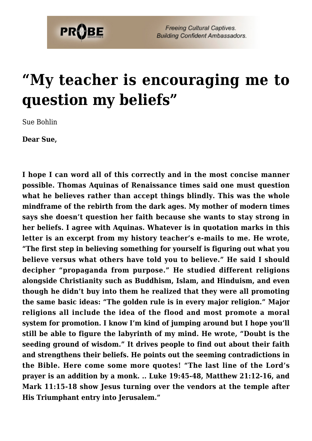

## **["My teacher is encouraging me to](https://probe.org/my-teacher-is-encouraging-me-to-question-my-beliefs/) [question my beliefs"](https://probe.org/my-teacher-is-encouraging-me-to-question-my-beliefs/)**

Sue Bohlin

**Dear Sue,**

**I hope I can word all of this correctly and in the most concise manner possible. Thomas Aquinas of Renaissance times said one must question what he believes rather than accept things blindly. This was the whole mindframe of the rebirth from the dark ages. My mother of modern times says she doesn't question her faith because she wants to stay strong in her beliefs. I agree with Aquinas. Whatever is in quotation marks in this letter is an excerpt from my history teacher's e-mails to me. He wrote, "The first step in believing something for yourself is figuring out what you believe versus what others have told you to believe." He said I should decipher "propaganda from purpose." He studied different religions alongside Christianity such as Buddhism, Islam, and Hinduism, and even though he didn't buy into them he realized that they were all promoting the same basic ideas: "The golden rule is in every major religion." Major religions all include the idea of the flood and most promote a moral system for promotion. I know I'm kind of jumping around but I hope you'll still be able to figure the labyrinth of my mind. He wrote, "Doubt is the seeding ground of wisdom." It drives people to find out about their faith and strengthens their beliefs. He points out the seeming contradictions in the Bible. Here come some more quotes! "The last line of the Lord's prayer is an addition by a monk. .. Luke 19:45-48, Matthew 21:12-16, and Mark 11:15-18 show Jesus turning over the vendors at the temple after His Triumphant entry into Jerusalem."**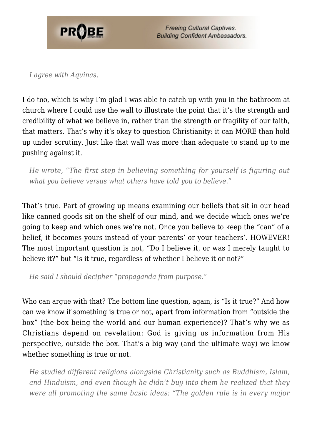

*I agree with Aquinas.*

I do too, which is why I'm glad I was able to catch up with you in the bathroom at church where I could use the wall to illustrate the point that it's the strength and credibility of what we believe in, rather than the strength or fragility of our faith, that matters. That's why it's okay to question Christianity: it can MORE than hold up under scrutiny. Just like that wall was more than adequate to stand up to me pushing against it.

*He wrote, "The first step in believing something for yourself is figuring out what you believe versus what others have told you to believe."*

That's true. Part of growing up means examining our beliefs that sit in our head like canned goods sit on the shelf of our mind, and we decide which ones we're going to keep and which ones we're not. Once you believe to keep the "can" of a belief, it becomes yours instead of your parents' or your teachers'. HOWEVER! The most important question is not, "Do I believe it, or was I merely taught to believe it?" but "Is it true, regardless of whether I believe it or not?"

*He said I should decipher "propaganda from purpose."*

Who can argue with that? The bottom line question, again, is "Is it true?" And how can we know if something is true or not, apart from information from "outside the box" (the box being the world and our human experience)? That's why we as Christians depend on revelation: God is giving us information from His perspective, outside the box. That's a big way (and the ultimate way) we know whether something is true or not.

*He studied different religions alongside Christianity such as Buddhism, Islam, and Hinduism, and even though he didn't buy into them he realized that they were all promoting the same basic ideas: "The golden rule is in every major*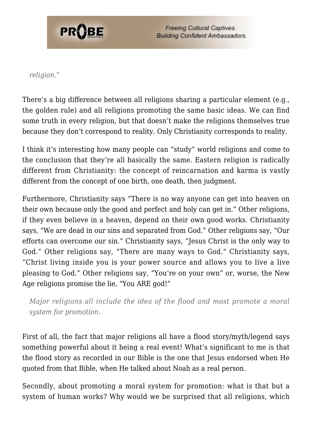

*religion."*

There's a big difference between all religions sharing a particular element (e.g., the golden rule) and all religions promoting the same basic ideas. We can find some truth in every religion, but that doesn't make the religions themselves true because they don't correspond to reality. Only Christianity corresponds to reality.

I think it's interesting how many people can "study" world religions and come to the conclusion that they're all basically the same. Eastern religion is radically different from Christianity: the concept of reincarnation and karma is vastly different from the concept of one birth, one death, then judgment.

Furthermore, Christianity says "There is no way anyone can get into heaven on their own because only the good and perfect and holy can get in." Other religions, if they even believe in a heaven, depend on their own good works. Christianity says, "We are dead in our sins and separated from God." Other religions say, "Our efforts can overcome our sin." Christianity says, "Jesus Christ is the only way to God." Other religions say, "There are many ways to God." Christianity says, "Christ living inside you is your power source and allows you to live a live pleasing to God." Other religions say, "You're on your own" or, worse, the New Age religions promise the lie, "You ARE god!"

*Major religions all include the idea of the flood and most promote a moral system for promotion.*

First of all, the fact that major religions all have a flood story/myth/legend says something powerful about it being a real event! What's significant to me is that the flood story as recorded in our Bible is the one that Jesus endorsed when He quoted from that Bible, when He talked about Noah as a real person.

Secondly, about promoting a moral system for promotion: what is that but a system of human works? Why would we be surprised that all religions, which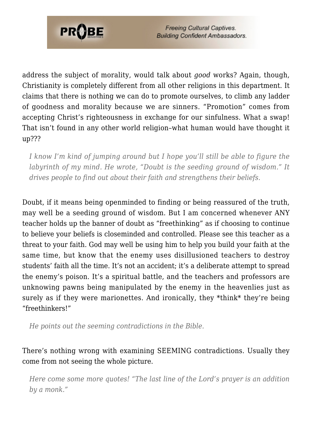

address the subject of morality, would talk about *good* works? Again, though, Christianity is completely different from all other religions in this department. It claims that there is nothing we can do to promote ourselves, to climb any ladder of goodness and morality because we are sinners. "Promotion" comes from accepting Christ's righteousness in exchange for our sinfulness. What a swap! That isn't found in any other world religion–what human would have thought it up???

*I know I'm kind of jumping around but I hope you'll still be able to figure the labyrinth of my mind. He wrote, "Doubt is the seeding ground of wisdom." It drives people to find out about their faith and strengthens their beliefs.*

Doubt, if it means being openminded to finding or being reassured of the truth, may well be a seeding ground of wisdom. But I am concerned whenever ANY teacher holds up the banner of doubt as "freethinking" as if choosing to continue to believe your beliefs is closeminded and controlled. Please see this teacher as a threat to your faith. God may well be using him to help you build your faith at the same time, but know that the enemy uses disillusioned teachers to destroy students' faith all the time. It's not an accident; it's a deliberate attempt to spread the enemy's poison. It's a spiritual battle, and the teachers and professors are unknowing pawns being manipulated by the enemy in the heavenlies just as surely as if they were marionettes. And ironically, they \*think\* they're being "freethinkers!"

*He points out the seeming contradictions in the Bible.*

There's nothing wrong with examining SEEMING contradictions. Usually they come from not seeing the whole picture.

*Here come some more quotes! "The last line of the Lord's prayer is an addition by a monk."*